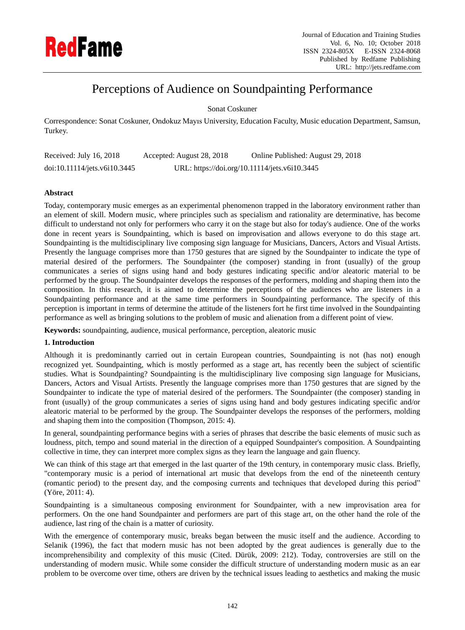

# Perceptions of Audience on Soundpainting Performance

Sonat Coskuner

Correspondence: Sonat Coskuner, Ondokuz Mayıs University, Education Faculty, Music education Department, Samsun, Turkey.

| Received: July 16, 2018      | Accepted: August 28, 2018 | Online Published: August 29, 2018             |
|------------------------------|---------------------------|-----------------------------------------------|
| doi:10.11114/jets.v6i10.3445 |                           | URL: https://doi.org/10.11114/jets.v6i10.3445 |

# **Abstract**

Today, contemporary music emerges as an experimental phenomenon trapped in the laboratory environment rather than an element of skill. Modern music, where principles such as specialism and rationality are determinative, has become difficult to understand not only for performers who carry it on the stage but also for today's audience. One of the works done in recent years is Soundpainting, which is based on improvisation and allows everyone to do this stage art. Soundpainting is the multidisciplinary live composing sign language for Musicians, Dancers, Actors and Visual Artists. Presently the language comprises more than 1750 gestures that are signed by the Soundpainter to indicate the type of material desired of the performers. The Soundpainter (the composer) standing in front (usually) of the group communicates a series of signs using hand and body gestures indicating specific and/or aleatoric material to be performed by the group. The Soundpainter develops the responses of the performers, molding and shaping them into the composition. In this research, it is aimed to determine the perceptions of the audiences who are listeners in a Soundpainting performance and at the same time performers in Soundpainting performance. The specify of this perception is important in terms of determine the attitude of the listeners fort he first time involved in the Soundpainting performance as well as bringing solutions to the problem of music and alienation from a different point of view.

**Keywords:** soundpainting, audience, musical performance, perception, aleatoric music

# **1. Introduction**

Although it is predominantly carried out in certain European countries, Soundpainting is not (has not) enough recognized yet. Soundpainting, which is mostly performed as a stage art, has recently been the subject of scientific studies. What is Soundpainting? Soundpainting is the multidisciplinary live composing sign language for Musicians, Dancers, Actors and Visual Artists. Presently the language comprises more than 1750 gestures that are signed by the Soundpainter to indicate the type of material desired of the performers. The Soundpainter (the composer) standing in front (usually) of the group communicates a series of signs using hand and body gestures indicating specific and/or aleatoric material to be performed by the group. The Soundpainter develops the responses of the performers, molding and shaping them into the composition (Thompson, 2015: 4).

In general, soundpainting performance begins with a series of phrases that describe the basic elements of music such as loudness, pitch, tempo and sound material in the direction of a equipped Soundpainter's composition. A Soundpainting collective in time, they can interpret more complex signs as they learn the language and gain fluency.

We can think of this stage art that emerged in the last quarter of the 19th century, in contemporary music class. Briefly, "contemporary music is a period of international art music that develops from the end of the nineteenth century (romantic period) to the present day, and the composing currents and techniques that developed during this period" (Yöre, 2011: 4).

Soundpainting is a simultaneous composing environment for Soundpainter, with a new improvisation area for performers. On the one hand Soundpainter and performers are part of this stage art, on the other hand the role of the audience, last ring of the chain is a matter of curiosity.

With the emergence of contemporary music, breaks began between the music itself and the audience. According to Selanik (1996), the fact that modern music has not been adopted by the great audiences is generally due to the incomprehensibility and complexity of this music (Cited. Dürük, 2009: 212). Today, controversies are still on the understanding of modern music. While some consider the difficult structure of understanding modern music as an ear problem to be overcome over time, others are driven by the technical issues leading to aesthetics and making the music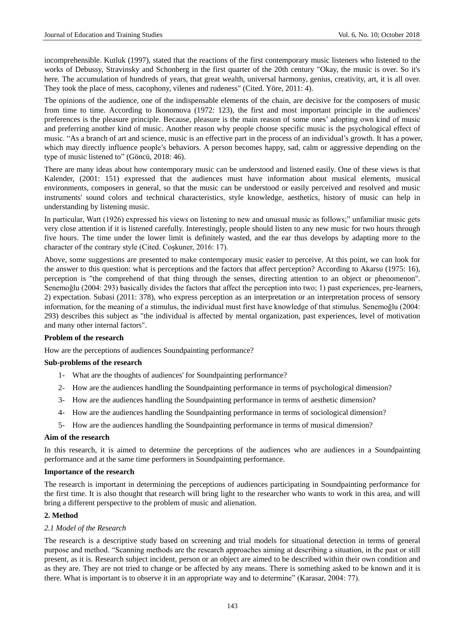incomprehensible. Kutluk (1997), stated that the reactions of the first contemporary music listeners who listened to the works of Debussy, Stravinsky and Schonberg in the first quarter of the 20th century "Okay, the music is over. So it's here. The accumulation of hundreds of years, that great wealth, universal harmony, genius, creativity, art, it is all over. They took the place of mess, cacophony, vilenes and rudeness" (Cited. Yöre, 2011: 4).

The opinions of the audience, one of the indispensable elements of the chain, are decisive for the composers of music from time to time. According to Ikonomova (1972: 123), the first and most important principle in the audiences' preferences is the pleasure principle. Because, pleasure is the main reason of some ones' adopting own kind of music and preferring another kind of music. Another reason why people choose specific music is the psychological effect of music. "As a branch of art and science, music is an effective part in the process of an individual's growth. It has a power, which may directly influence people's behaviors. A person becomes happy, sad, calm or aggressive depending on the type of music listened to" (Göncü, 2018: 46).

There are many ideas about how contemporary music can be understood and listened easily. One of these views is that Kalender, (2001: 151) expressed that the audiences must have information about musical elements, musical environments, composers in general, so that the music can be understood or easily perceived and resolved and music instruments' sound colors and technical characteristics, style knowledge, aesthetics, history of music can help in understanding by listening music.

In particular, Watt (1926) expressed his views on listening to new and unusual music as follows;" unfamiliar music gets very close attention if it is listened carefully. Interestingly, people should listen to any new music for two hours through five hours. The time under the lower limit is definitely wasted, and the ear thus develops by adapting more to the character of the contrary style (Cited. Coşkuner, 2016: 17).

Above, some suggestions are presented to make contemporary music easier to perceive. At this point, we can look for the answer to this question: what is perceptions and the factors that affect perception? According to Akarsu (1975: 16), perception is "the comprehend of that thing through the senses, directing attention to an object or phenomenon". Senemoğlu (2004: 293) basically divides the factors that affect the perception into two; 1) past experiences, pre-learners, 2) expectation. Subasi (2011: 378), who express perception as an interpretation or an interpretation process of sensory information, for the meaning of a stimulus, the individual must first have knowledge of that stimulus. Senemoğlu (2004: 293) describes this subject as "the individual is affected by mental organization, past experiences, level of motivation and many other internal factors".

## **Problem of the research**

How are the perceptions of audiences Soundpainting performance?

#### **Sub-problems of the research**

- 1- What are the thoughts of audiences' for Soundpainting performance?
- 2- How are the audiences handling the Soundpainting performance in terms of psychological dimension?
- 3- How are the audiences handling the Soundpainting performance in terms of aesthetic dimension?
- 4- How are the audiences handling the Soundpainting performance in terms of sociological dimension?
- 5- How are the audiences handling the Soundpainting performance in terms of musical dimension?

## **Aim of the research**

In this research, it is aimed to determine the perceptions of the audiences who are audiences in a Soundpainting performance and at the same time performers in Soundpainting performance.

#### **Importance of the research**

The research is important in determining the perceptions of audiences participating in Soundpainting performance for the first time. It is also thought that research will bring light to the researcher who wants to work in this area, and will bring a different perspective to the problem of music and alienation.

#### **2. Method**

## *2.1 Model of the Research*

The research is a descriptive study based on screening and trial models for situational detection in terms of general purpose and method. "Scanning methods are the research approaches aiming at describing a situation, in the past or still present, as it is. Research subject incident, person or an object are aimed to be described within their own condition and as they are. They are not tried to change or be affected by any means. There is something asked to be known and it is there. What is important is to observe it in an appropriate way and to determine" (Karasar, 2004: 77).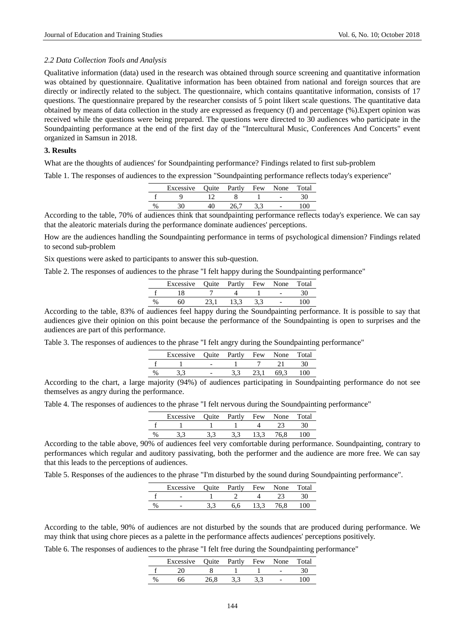#### *2.2 Data Collection Tools and Analysis*

Qualitative information (data) used in the research was obtained through source screening and quantitative information was obtained by questionnaire. Qualitative information has been obtained from national and foreign sources that are directly or indirectly related to the subject. The questionnaire, which contains quantitative information, consists of 17 questions. The questionnaire prepared by the researcher consists of 5 point likert scale questions. The quantitative data obtained by means of data collection in the study are expressed as frequency (f) and percentage (%).Expert opinion was received while the questions were being prepared. The questions were directed to 30 audiences who participate in the Soundpainting performance at the end of the first day of the "Intercultural Music, Conferences And Concerts" event organized in Samsun in 2018.

## **3. Results**

What are the thoughts of audiences' for Soundpainting performance? Findings related to first sub-problem

Table 1. The responses of audiences to the expression "Soundpainting performance reflects today's experience"

|      | Excessive Quite Partly Few None Total |      |  |     |
|------|---------------------------------------|------|--|-----|
|      |                                       |      |  |     |
| $\%$ |                                       | 26.7 |  | 100 |

According to the table, 70% of audiences think that soundpainting performance reflects today's experience. We can say that the aleatoric materials during the performance dominate audiences' perceptions.

How are the audiences handling the Soundpainting performance in terms of psychological dimension? Findings related to second sub-problem

Six questions were asked to participants to answer this sub-question.

Table 2. The responses of audiences to the phrase "I felt happy during the Soundpainting performance"

|   | Excessive Quite Partly Few |      | None | Total |
|---|----------------------------|------|------|-------|
|   |                            |      |      |       |
| % | 60                         | 13.3 |      | 100   |

According to the table, 83% of audiences feel happy during the Soundpainting performance. It is possible to say that audiences give their opinion on this point because the performance of the Soundpainting is open to surprises and the audiences are part of this performance.

Table 3. The responses of audiences to the phrase "I felt angry during the Soundpainting performance"

| Excessive Quite Partly Few None |  |  | Total |
|---------------------------------|--|--|-------|
|                                 |  |  |       |
|                                 |  |  |       |

According to the chart, a large majority (94%) of audiences participating in Soundpainting performance do not see themselves as angry during the performance.

Table 4. The responses of audiences to the phrase "I felt nervous during the Soundpainting performance"

|      | Excessive | Quite Partly | Few | None | Total |
|------|-----------|--------------|-----|------|-------|
|      |           |              |     |      |       |
| $\%$ |           |              |     | 76.8 |       |

According to the table above, 90% of audiences feel very comfortable during performance. Soundpainting, contrary to performances which regular and auditory passivating, both the performer and the audience are more free. We can say that this leads to the perceptions of audiences.

Table 5. Responses of the audiences to the phrase "I'm disturbed by the sound during Soundpainting performance".

|      | Excessive Quite Partly Few None |     |      | Total |
|------|---------------------------------|-----|------|-------|
|      |                                 |     |      | 30    |
| $\%$ | $\overline{\phantom{0}}$        | 6.6 | 76.8 | 100-  |

According to the table, 90% of audiences are not disturbed by the sounds that are produced during performance. We may think that using chore pieces as a palette in the performance affects audiences' perceptions positively.

Table 6. The responses of audiences to the phrase "I felt free during the Soundpainting performance"

|      | Excessive | Ouite | Partly | Few | None | Total |
|------|-----------|-------|--------|-----|------|-------|
|      |           |       |        |     |      |       |
| $\%$ |           | '6 ጸ  |        |     |      | .00 L |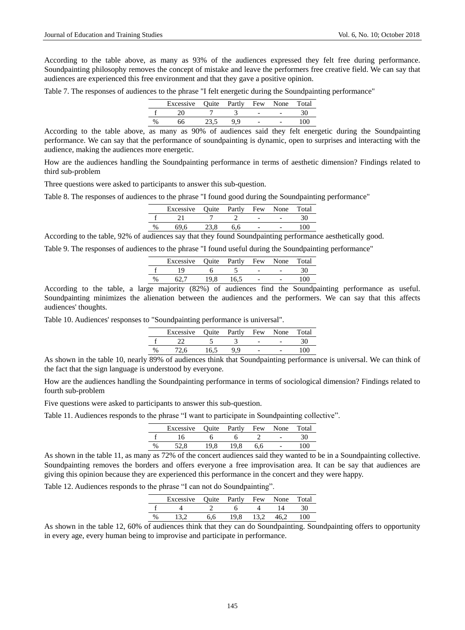According to the table above, as many as 93% of the audiences expressed they felt free during performance. Soundpainting philosophy removes the concept of mistake and leave the performers free creative field. We can say that audiences are experienced this free environment and that they gave a positive opinion.

Table 7. The responses of audiences to the phrase "I felt energetic during the Soundpainting performance"

|      | Excessive Quite Partly Few None |  |  | Total |
|------|---------------------------------|--|--|-------|
|      |                                 |  |  |       |
| $\%$ |                                 |  |  |       |

According to the table above, as many as 90% of audiences said they felt energetic during the Soundpainting performance. We can say that the performance of soundpainting is dynamic, open to surprises and interacting with the audience, making the audiences more energetic.

How are the audiences handling the Soundpainting performance in terms of aesthetic dimension? Findings related to third sub-problem

Three questions were asked to participants to answer this sub-question.

Table 8. The responses of audiences to the phrase "I found good during the Soundpainting performance"

|   | Excessive Quite Partly Few None |     |  | Total |
|---|---------------------------------|-----|--|-------|
|   |                                 |     |  |       |
| % | 69.6                            | 6.6 |  | 100   |

According to the table, 92% of audiences say that they found Soundpainting performance aesthetically good.

Table 9. The responses of audiences to the phrase "I found useful during the Soundpainting performance"

|   | Excessive Quite Partly Few None |      |      |                      | Total |
|---|---------------------------------|------|------|----------------------|-------|
|   |                                 |      |      |                      | 30    |
| % |                                 | 19.8 | 16.5 |                      | 100   |
|   |                                 |      |      | $\alpha$ ii $\alpha$ |       |

According to the table, a large majority (82%) of audiences find the Soundpainting performance as useful. Soundpainting minimizes the alienation between the audiences and the performers. We can say that this affects audiences' thoughts.

Table 10. Audiences' responses to "Soundpainting performance is universal".

|   | Excessive Quite Partly Few None |      |     |  | Total |
|---|---------------------------------|------|-----|--|-------|
|   |                                 |      |     |  | 30    |
| % | 72.6                            | 16.5 | 9.9 |  | 100   |

As shown in the table 10, nearly 89% of audiences think that Soundpainting performance is universal. We can think of the fact that the sign language is understood by everyone.

How are the audiences handling the Soundpainting performance in terms of sociological dimension? Findings related to fourth sub-problem

Five questions were asked to participants to answer this sub-question.

Table 11. Audiences responds to the phrase "I want to participate in Soundpainting collective".

|      | Excessive |      | Quite Partly Few None |     | Total |
|------|-----------|------|-----------------------|-----|-------|
|      | 16        |      |                       |     |       |
| $\%$ | 52.8      | 19.8 | 19.8                  | 6.6 | .00 . |

As shown in the table 11, as many as 72% of the concert audiences said they wanted to be in a Soundpainting collective. Soundpainting removes the borders and offers everyone a free improvisation area. It can be say that audiences are giving this opinion because they are experienced this performance in the concert and they were happy.

Table 12. Audiences responds to the phrase "I can not do Soundpainting".

| Excessive Quite Partly Few None |     |      |      |      | Total |
|---------------------------------|-----|------|------|------|-------|
|                                 |     |      |      |      | 30    |
|                                 | 6.6 | 19.8 | 13.2 | 46.2 | 100   |

As shown in the table 12, 60% of audiences think that they can do Soundpainting. Soundpainting offers to opportunity in every age, every human being to improvise and participate in performance.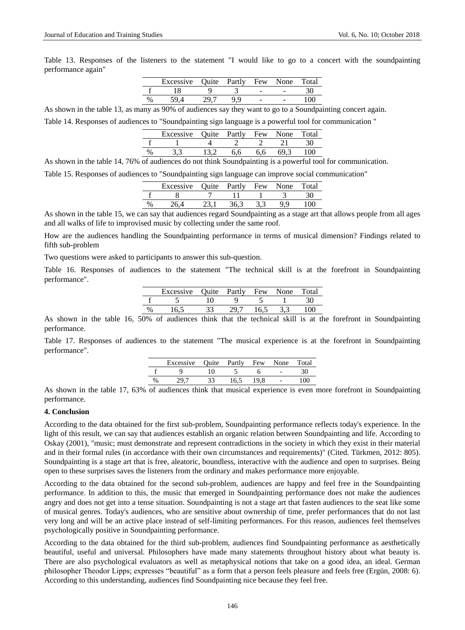Table 13. Responses of the listeners to the statement "I would like to go to a concert with the soundpainting performance again"

|      | Excessive | Quite | Partly | Few | None                     | Total |
|------|-----------|-------|--------|-----|--------------------------|-------|
|      |           |       |        | -   | $\overline{\phantom{0}}$ |       |
| $\%$ |           |       |        | -   | $\overline{\phantom{0}}$ | ۱OC   |

As shown in the table 13, as many as 90% of audiences say they want to go to a Soundpainting concert again.

Table 14. Responses of audiences to "Soundpainting sign language is a powerful tool for communication "

| Excessive Ouite Partly Few |     |     | None | Total |
|----------------------------|-----|-----|------|-------|
|                            |     |     |      | 30    |
|                            | 6.6 | 6.6 | 69 3 | 100   |

As shown in the table 14, 76% of audiences do not think Soundpainting is a powerful tool for communication.

Table 15. Responses of audiences to "Soundpainting sign language can improve social communication"

|               | Excessive | Quite Partly | Few | None | Total |
|---------------|-----------|--------------|-----|------|-------|
|               |           |              |     |      |       |
| $\frac{0}{0}$ |           | 36.3         |     |      | ഥറ    |

As shown in the table 15, we can say that audiences regard Soundpainting as a stage art that allows people from all ages and all walks of life to improvised music by collecting under the same roof.

How are the audiences handling the Soundpainting performance in terms of musical dimension? Findings related to fifth sub-problem

Two questions were asked to participants to answer this sub-question.

Table 16. Responses of audiences to the statement "The technical skill is at the forefront in Soundpainting performance".

|   | Excessive | Quite Partly Few |      | None | Total |
|---|-----------|------------------|------|------|-------|
|   |           |                  |      |      |       |
| % |           | ־ טכ             | L6.5 |      |       |

As shown in the table 16, 50% of audiences think that the technical skill is at the forefront in Soundpainting performance.

Table 17. Responses of audiences to the statement "The musical experience is at the forefront in Soundpainting performance".

|   | Excessive Quite Partly Few None Total |      |      |      |            |     |
|---|---------------------------------------|------|------|------|------------|-----|
|   |                                       |      |      |      |            |     |
| % | 29.7                                  | - 33 | 16.5 | 19.8 | $\sim$ $-$ | 100 |

As shown in the table 17, 63% of audiences think that musical experience is even more forefront in Soundpainting performance.

## **4. Conclusion**

According to the data obtained for the first sub-problem, Soundpainting performance reflects today's experience. In the light of this result, we can say that audiences establish an organic relation between Soundpainting and life. According to Oskay (2001), "music; must demonstrate and represent contradictions in the society in which they exist in their material and in their formal rules (in accordance with their own circumstances and requirements)" (Cited. Türkmen, 2012: 805). Soundpainting is a stage art that is free, aleatoric, boundless, interactive with the audience and open to surprises. Being open to these surprises saves the listeners from the ordinary and makes performance more enjoyable.

According to the data obtained for the second sub-problem, audiences are happy and feel free in the Soundpainting performance. In addition to this, the music that emerged in Soundpainting performance does not make the audiences angry and does not get into a tense situation. Soundpainting is not a stage art that fasten audiences to the seat like some of musical genres. Today's audiences, who are sensitive about ownership of time, prefer performances that do not last very long and will be an active place instead of self-limiting performances. For this reason, audiences feel themselves psychologically positive in Soundpainting performance.

According to the data obtained for the third sub-problem, audiences find Soundpainting performance as aesthetically beautiful, useful and universal. Philosophers have made many statements throughout history about what beauty is. There are also psychological evaluators as well as metaphysical notions that take on a good idea, an ideal. German philosopher Theodor Lipps; expresses "beautiful" as a form that a person feels pleasure and feels free (Ergün, 2008: 6). According to this understanding, audiences find Soundpainting nice because they feel free.